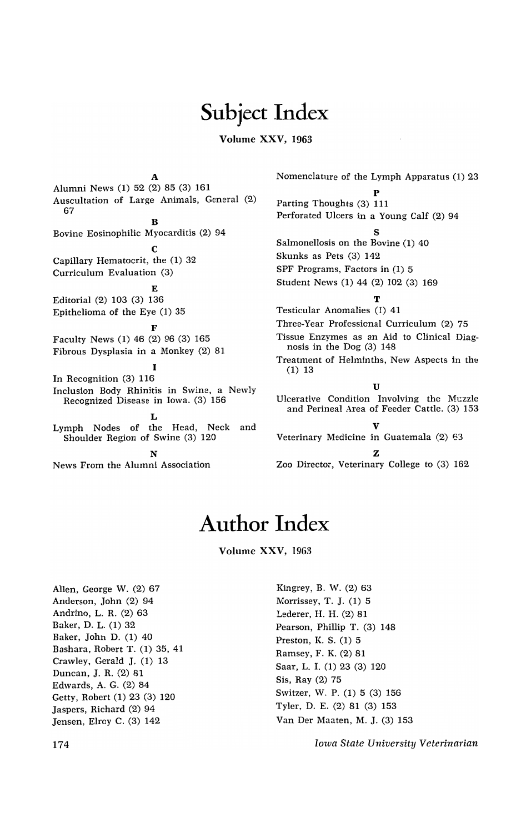## Subject Index

## Volume XXV, 1963

A Alumni News (1) 52 (2) 85 (3) 161 Auscultation of Large Animals, General (2) 67  $\mathbf{R}$ Bovine Eosinophilic Myocarditis (2) 94  $\mathbf C$ Capillary Hematocrit, the (1) 32 Curriculum Evaluation (3) E Editorial (2) 103 (3) 136 Epithelioma of the Eye (1) 35 F Faculty News (1) 46 (2) 96 (3) 165 Fibrous Dysplasia in a Monkey (2) 81 I In Recognition (3) 116 Inclusion Body Rhinitis in Swine, a Newly Recognized Disease in Iowa. (3) 156 L Lymph Nodes of the Head, Neck and Shoulder Region of Swine (3) 120 N News From the Alumni Association

Nomenclature of the Lymph Apparatus (1) 23

p Parting Thoughts (3) 111 Perforated Ulcers in a Young Calf (2) 94 S Salmonellosis on the Bovine (1) 40 Skunks as Pets (3) 142 SPF Programs, Factors in (1) 5 Student News (1) 44 (2) 102 (3) 169 T Testicular Anomalies (1) 41 Three-Year Professional Curriculum (2) 75 Tissue Enzymes as an Aid to Clinical Diagnosis in the Dog (3) 14B Treatment of Helminths, New Aspects in the (1) 13 **II** Ulcerative Condition Involving the Muzzle and Perineal Area of Feeder Cattle. (3) 153 V Veterinary Medicine in Guatemala (2) 63 Z

Zoo Director, Veterinary College to (3) 162

## **Author Index**

Volume XXV, 1963

Allen, George W. (2) 67 Anderson, John (2) 94 Andrino, L. R. (2) 63 Baker, D. L. (1) 32 Baker, John D. (1) 40 Bashara, Robert T. (1) 35, 41 Crawley, Gerald J. (1) 13 Duncan, J. R. (2) 81 Edwards, A. G. (2) 84 Getty, Robert (1) 23 (3) 120 Jaspers, Richard (2) 94 Jensen, Elroy C. (3) 142

Kingrey, B. W. (2) 63 Morrissey, T. J. (1) 5 Lederer, H. H. (2) 81 Pearson, Phillip T. (3) 148 Preston, K. S. (1) 5 Ramsey, F. K. (2) 81 Saar, L. I. (1) 23 (3) 120 Sis, Ray (2) 75 Switzer, W. P. (1) 5 (3) 156 Tyler, D. E. (2) 81 (3) 153 Van Der Maaten, M. J. (3) 153

*Iowa State University Veterinarian*